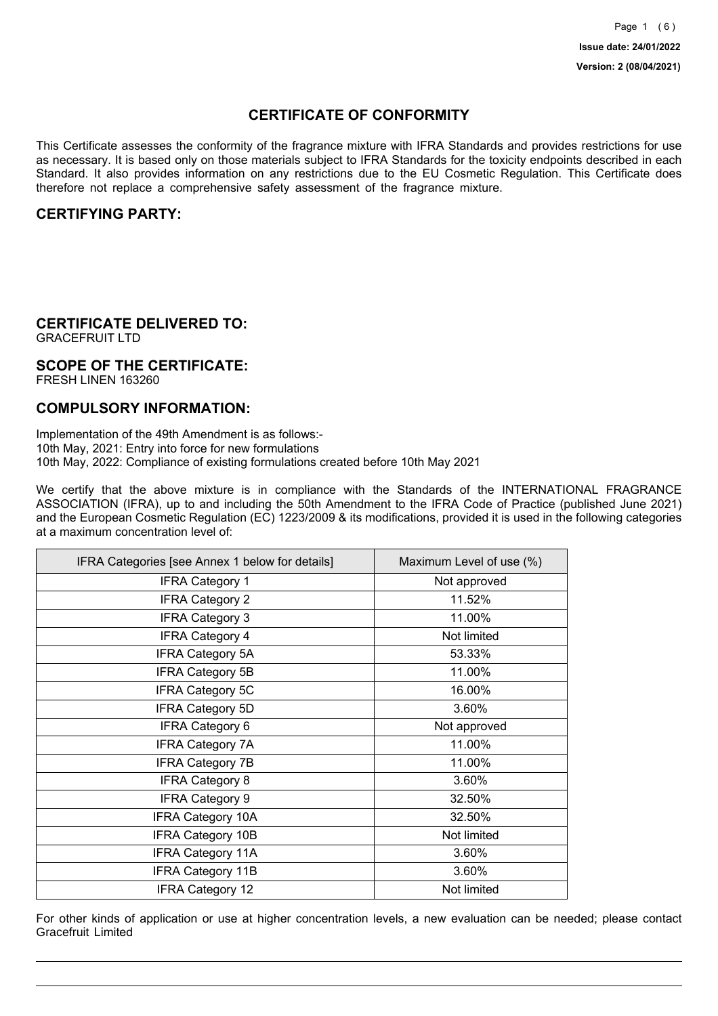## **CERTIFICATE OF CONFORMITY**

This Certificate assesses the conformity of the fragrance mixture with IFRA Standards and provides restrictions for use as necessary. It is based only on those materials subject to IFRA Standards for the toxicity endpoints described in each Standard. It also provides information on any restrictions due to the EU Cosmetic Regulation. This Certificate does therefore not replace a comprehensive safety assessment of the fragrance mixture.

### **CERTIFYING PARTY:**

# **CERTIFICATE DELIVERED TO:**

GRACEFRUIT LTD

#### **SCOPE OF THE CERTIFICATE:** FRESH LINEN 163260

### **COMPULSORY INFORMATION:**

Implementation of the 49th Amendment is as follows:- 10th May, 2021: Entry into force for new formulations 10th May, 2022: Compliance of existing formulations created before 10th May 2021

We certify that the above mixture is in compliance with the Standards of the INTERNATIONAL FRAGRANCE ASSOCIATION (IFRA), up to and including the 50th Amendment to the IFRA Code of Practice (published June 2021) and the European Cosmetic Regulation (EC) 1223/2009 & its modifications, provided it is used in the following categories at a maximum concentration level of:

| IFRA Categories [see Annex 1 below for details] | Maximum Level of use (%) |
|-------------------------------------------------|--------------------------|
| <b>IFRA Category 1</b>                          | Not approved             |
| <b>IFRA Category 2</b>                          | 11.52%                   |
| <b>IFRA Category 3</b>                          | 11.00%                   |
| <b>IFRA Category 4</b>                          | Not limited              |
| <b>IFRA Category 5A</b>                         | 53.33%                   |
| <b>IFRA Category 5B</b>                         | 11.00%                   |
| <b>IFRA Category 5C</b>                         | 16.00%                   |
| <b>IFRA Category 5D</b>                         | 3.60%                    |
| <b>IFRA Category 6</b>                          | Not approved             |
| <b>IFRA Category 7A</b>                         | 11.00%                   |
| <b>IFRA Category 7B</b>                         | 11.00%                   |
| <b>IFRA Category 8</b>                          | 3.60%                    |
| <b>IFRA Category 9</b>                          | 32.50%                   |
| <b>IFRA Category 10A</b>                        | 32.50%                   |
| <b>IFRA Category 10B</b>                        | Not limited              |
| <b>IFRA Category 11A</b>                        | 3.60%                    |
| <b>IFRA Category 11B</b>                        | 3.60%                    |
| <b>IFRA Category 12</b>                         | Not limited              |

For other kinds of application or use at higher concentration levels, a new evaluation can be needed; please contact Gracefruit Limited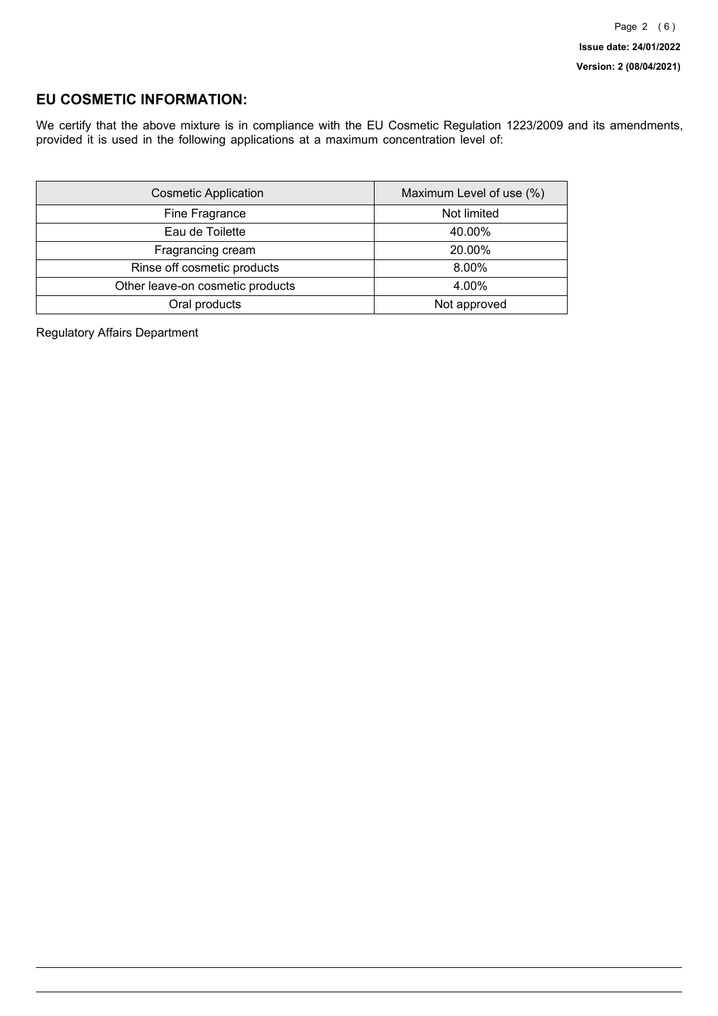### **EU COSMETIC INFORMATION:**

We certify that the above mixture is in compliance with the EU Cosmetic Regulation 1223/2009 and its amendments, provided it is used in the following applications at a maximum concentration level of:

| <b>Cosmetic Application</b>      | Maximum Level of use (%) |
|----------------------------------|--------------------------|
| Fine Fragrance                   | Not limited              |
| Eau de Toilette                  | 40.00%                   |
| Fragrancing cream                | 20.00%                   |
| Rinse off cosmetic products      | 8.00%                    |
| Other leave-on cosmetic products | 4.00%                    |
| Oral products                    | Not approved             |

Regulatory Affairs Department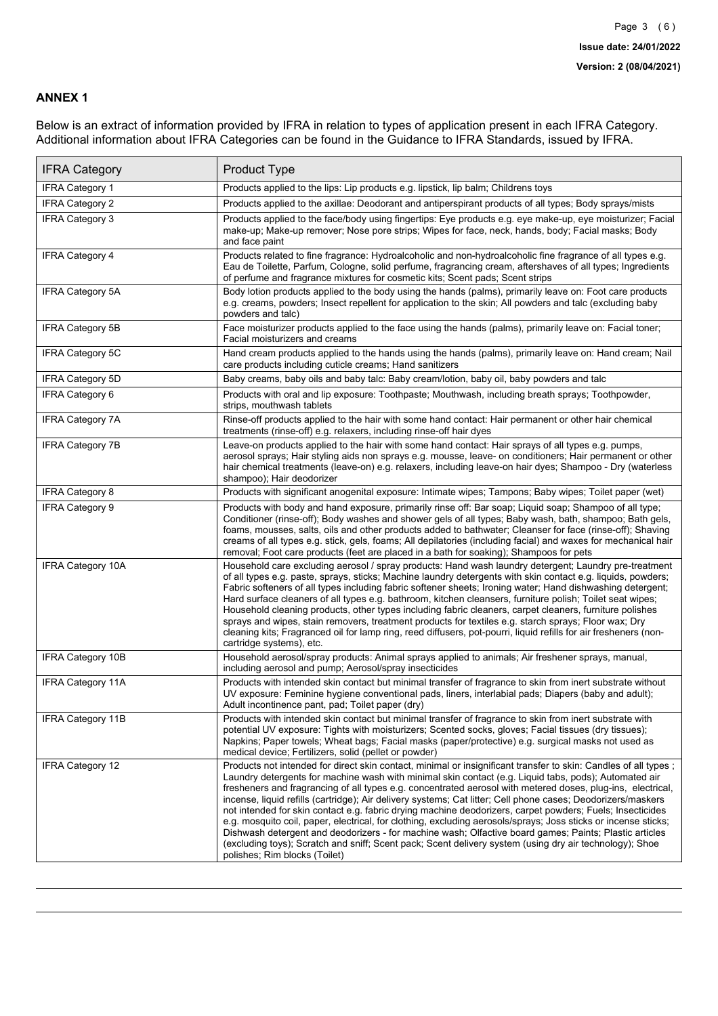### **ANNEX 1**

Below is an extract of information provided by IFRA in relation to types of application present in each IFRA Category. Additional information about IFRA Categories can be found in the Guidance to IFRA Standards, issued by IFRA.

| <b>IFRA Category</b>     | Product Type                                                                                                                                                                                                                                                                                                                                                                                                                                                                                                                                                                                                                                                                                                                                                                                                                                                                                                                                 |
|--------------------------|----------------------------------------------------------------------------------------------------------------------------------------------------------------------------------------------------------------------------------------------------------------------------------------------------------------------------------------------------------------------------------------------------------------------------------------------------------------------------------------------------------------------------------------------------------------------------------------------------------------------------------------------------------------------------------------------------------------------------------------------------------------------------------------------------------------------------------------------------------------------------------------------------------------------------------------------|
| <b>IFRA Category 1</b>   | Products applied to the lips: Lip products e.g. lipstick, lip balm; Childrens toys                                                                                                                                                                                                                                                                                                                                                                                                                                                                                                                                                                                                                                                                                                                                                                                                                                                           |
| <b>IFRA Category 2</b>   | Products applied to the axillae: Deodorant and antiperspirant products of all types; Body sprays/mists                                                                                                                                                                                                                                                                                                                                                                                                                                                                                                                                                                                                                                                                                                                                                                                                                                       |
| <b>IFRA Category 3</b>   | Products applied to the face/body using fingertips: Eye products e.g. eye make-up, eye moisturizer; Facial<br>make-up; Make-up remover; Nose pore strips; Wipes for face, neck, hands, body; Facial masks; Body<br>and face paint                                                                                                                                                                                                                                                                                                                                                                                                                                                                                                                                                                                                                                                                                                            |
| <b>IFRA Category 4</b>   | Products related to fine fragrance: Hydroalcoholic and non-hydroalcoholic fine fragrance of all types e.g.<br>Eau de Toilette, Parfum, Cologne, solid perfume, fragrancing cream, aftershaves of all types; Ingredients<br>of perfume and fragrance mixtures for cosmetic kits; Scent pads; Scent strips                                                                                                                                                                                                                                                                                                                                                                                                                                                                                                                                                                                                                                     |
| <b>IFRA Category 5A</b>  | Body lotion products applied to the body using the hands (palms), primarily leave on: Foot care products<br>e.g. creams, powders; Insect repellent for application to the skin; All powders and talc (excluding baby<br>powders and talc)                                                                                                                                                                                                                                                                                                                                                                                                                                                                                                                                                                                                                                                                                                    |
| IFRA Category 5B         | Face moisturizer products applied to the face using the hands (palms), primarily leave on: Facial toner;<br>Facial moisturizers and creams                                                                                                                                                                                                                                                                                                                                                                                                                                                                                                                                                                                                                                                                                                                                                                                                   |
| <b>IFRA Category 5C</b>  | Hand cream products applied to the hands using the hands (palms), primarily leave on: Hand cream; Nail<br>care products including cuticle creams; Hand sanitizers                                                                                                                                                                                                                                                                                                                                                                                                                                                                                                                                                                                                                                                                                                                                                                            |
| <b>IFRA Category 5D</b>  | Baby creams, baby oils and baby talc: Baby cream/lotion, baby oil, baby powders and talc                                                                                                                                                                                                                                                                                                                                                                                                                                                                                                                                                                                                                                                                                                                                                                                                                                                     |
| IFRA Category 6          | Products with oral and lip exposure: Toothpaste; Mouthwash, including breath sprays; Toothpowder,<br>strips, mouthwash tablets                                                                                                                                                                                                                                                                                                                                                                                                                                                                                                                                                                                                                                                                                                                                                                                                               |
| <b>IFRA Category 7A</b>  | Rinse-off products applied to the hair with some hand contact: Hair permanent or other hair chemical<br>treatments (rinse-off) e.g. relaxers, including rinse-off hair dyes                                                                                                                                                                                                                                                                                                                                                                                                                                                                                                                                                                                                                                                                                                                                                                  |
| <b>IFRA Category 7B</b>  | Leave-on products applied to the hair with some hand contact: Hair sprays of all types e.g. pumps,<br>aerosol sprays; Hair styling aids non sprays e.g. mousse, leave- on conditioners; Hair permanent or other<br>hair chemical treatments (leave-on) e.g. relaxers, including leave-on hair dyes; Shampoo - Dry (waterless<br>shampoo); Hair deodorizer                                                                                                                                                                                                                                                                                                                                                                                                                                                                                                                                                                                    |
| <b>IFRA Category 8</b>   | Products with significant anogenital exposure: Intimate wipes; Tampons; Baby wipes; Toilet paper (wet)                                                                                                                                                                                                                                                                                                                                                                                                                                                                                                                                                                                                                                                                                                                                                                                                                                       |
| IFRA Category 9          | Products with body and hand exposure, primarily rinse off: Bar soap; Liquid soap; Shampoo of all type;<br>Conditioner (rinse-off); Body washes and shower gels of all types; Baby wash, bath, shampoo; Bath gels,<br>foams, mousses, salts, oils and other products added to bathwater; Cleanser for face (rinse-off); Shaving<br>creams of all types e.g. stick, gels, foams; All depilatories (including facial) and waxes for mechanical hair<br>removal; Foot care products (feet are placed in a bath for soaking); Shampoos for pets                                                                                                                                                                                                                                                                                                                                                                                                   |
| <b>IFRA Category 10A</b> | Household care excluding aerosol / spray products: Hand wash laundry detergent; Laundry pre-treatment<br>of all types e.g. paste, sprays, sticks; Machine laundry detergents with skin contact e.g. liquids, powders;<br>Fabric softeners of all types including fabric softener sheets; Ironing water; Hand dishwashing detergent;<br>Hard surface cleaners of all types e.g. bathroom, kitchen cleansers, furniture polish; Toilet seat wipes;<br>Household cleaning products, other types including fabric cleaners, carpet cleaners, furniture polishes<br>sprays and wipes, stain removers, treatment products for textiles e.g. starch sprays; Floor wax; Dry<br>cleaning kits; Fragranced oil for lamp ring, reed diffusers, pot-pourri, liquid refills for air fresheners (non-<br>cartridge systems), etc.                                                                                                                          |
| <b>IFRA Category 10B</b> | Household aerosol/spray products: Animal sprays applied to animals; Air freshener sprays, manual,<br>including aerosol and pump; Aerosol/spray insecticides                                                                                                                                                                                                                                                                                                                                                                                                                                                                                                                                                                                                                                                                                                                                                                                  |
| <b>IFRA Category 11A</b> | Products with intended skin contact but minimal transfer of fragrance to skin from inert substrate without<br>UV exposure: Feminine hygiene conventional pads, liners, interlabial pads; Diapers (baby and adult);<br>Adult incontinence pant, pad; Toilet paper (dry)                                                                                                                                                                                                                                                                                                                                                                                                                                                                                                                                                                                                                                                                       |
| <b>IFRA Category 11B</b> | Products with intended skin contact but minimal transfer of fragrance to skin from inert substrate with<br>potential UV exposure: Tights with moisturizers; Scented socks, gloves; Facial tissues (dry tissues);<br>Napkins; Paper towels; Wheat bags; Facial masks (paper/protective) e.g. surgical masks not used as<br>medical device; Fertilizers, solid (pellet or powder)                                                                                                                                                                                                                                                                                                                                                                                                                                                                                                                                                              |
| <b>IFRA Category 12</b>  | Products not intended for direct skin contact, minimal or insignificant transfer to skin: Candles of all types;<br>Laundry detergents for machine wash with minimal skin contact (e.g. Liquid tabs, pods); Automated air<br>fresheners and fragrancing of all types e.g. concentrated aerosol with metered doses, plug-ins, electrical,<br>incense, liquid refills (cartridge); Air delivery systems; Cat litter; Cell phone cases; Deodorizers/maskers<br>not intended for skin contact e.g. fabric drying machine deodorizers, carpet powders; Fuels; Insecticides<br>e.g. mosquito coil, paper, electrical, for clothing, excluding aerosols/sprays; Joss sticks or incense sticks;<br>Dishwash detergent and deodorizers - for machine wash; Olfactive board games; Paints; Plastic articles<br>(excluding toys); Scratch and sniff; Scent pack; Scent delivery system (using dry air technology); Shoe<br>polishes; Rim blocks (Toilet) |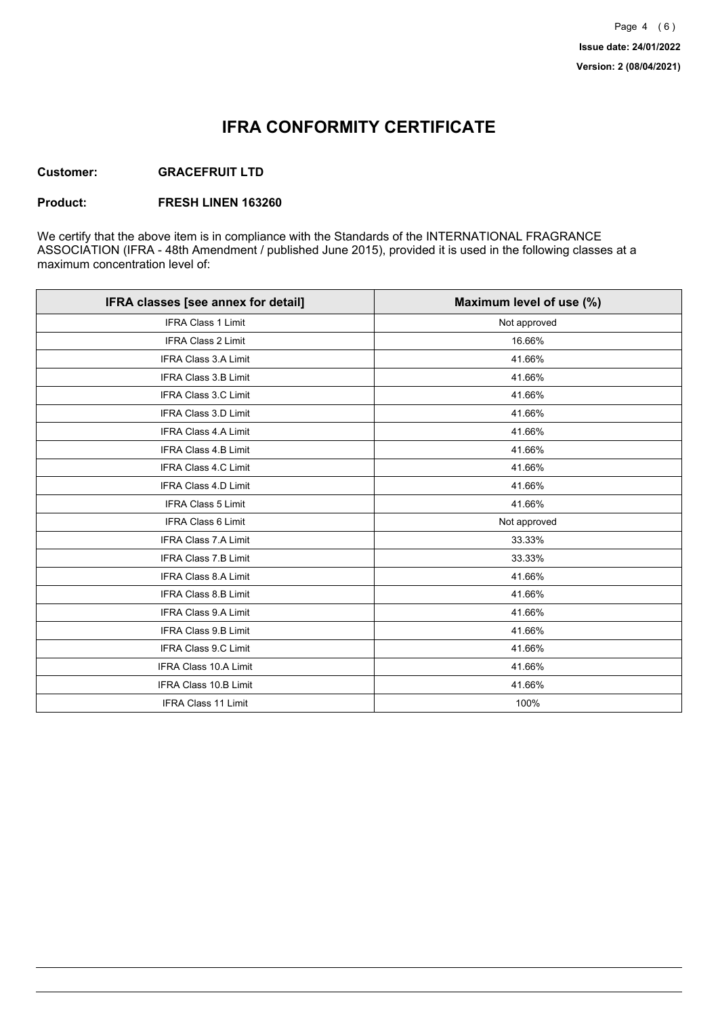# **IFRA CONFORMITY CERTIFICATE**

### **Customer: GRACEFRUIT LTD**

#### **Product: FRESH LINEN 163260**

We certify that the above item is in compliance with the Standards of the INTERNATIONAL FRAGRANCE ASSOCIATION (IFRA - 48th Amendment / published June 2015), provided it is used in the following classes at a maximum concentration level of:

| IFRA classes [see annex for detail] | Maximum level of use (%) |
|-------------------------------------|--------------------------|
| <b>IFRA Class 1 Limit</b>           | Not approved             |
| IFRA Class 2 Limit                  | 16.66%                   |
| <b>IFRA Class 3.A Limit</b>         | 41.66%                   |
| IFRA Class 3.B Limit                | 41.66%                   |
| <b>IFRA Class 3.C Limit</b>         | 41.66%                   |
| IFRA Class 3.D Limit                | 41.66%                   |
| <b>IFRA Class 4.A Limit</b>         | 41.66%                   |
| <b>IFRA Class 4.B Limit</b>         | 41.66%                   |
| <b>IFRA Class 4.C Limit</b>         | 41.66%                   |
| <b>IFRA Class 4.D Limit</b>         | 41.66%                   |
| <b>IFRA Class 5 Limit</b>           | 41.66%                   |
| IFRA Class 6 Limit                  | Not approved             |
| <b>IFRA Class 7.A Limit</b>         | 33.33%                   |
| <b>IFRA Class 7.B Limit</b>         | 33.33%                   |
| <b>IFRA Class 8.A Limit</b>         | 41.66%                   |
| IFRA Class 8.B Limit                | 41.66%                   |
| IFRA Class 9.A Limit                | 41.66%                   |
| IFRA Class 9.B Limit                | 41.66%                   |
| <b>IFRA Class 9.C Limit</b>         | 41.66%                   |
| IFRA Class 10.A Limit               | 41.66%                   |
| IFRA Class 10.B Limit               | 41.66%                   |
| <b>IFRA Class 11 Limit</b>          | 100%                     |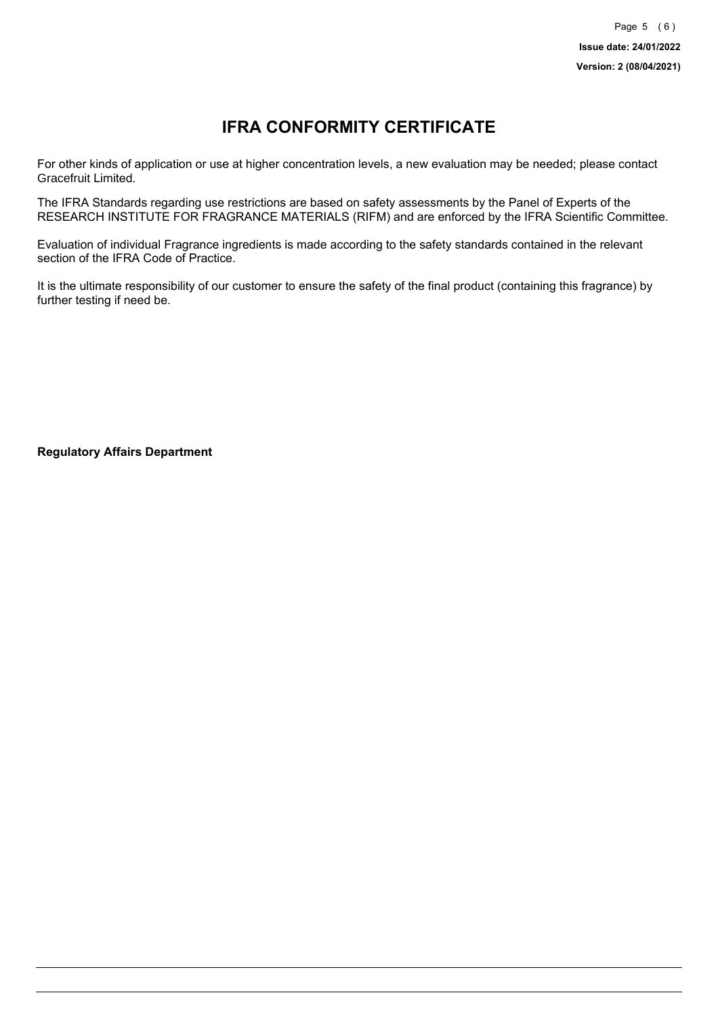# **IFRA CONFORMITY CERTIFICATE**

For other kinds of application or use at higher concentration levels, a new evaluation may be needed; please contact Gracefruit Limited.

The IFRA Standards regarding use restrictions are based on safety assessments by the Panel of Experts of the RESEARCH INSTITUTE FOR FRAGRANCE MATERIALS (RIFM) and are enforced by the IFRA Scientific Committee.

Evaluation of individual Fragrance ingredients is made according to the safety standards contained in the relevant section of the IFRA Code of Practice.

It is the ultimate responsibility of our customer to ensure the safety of the final product (containing this fragrance) by further testing if need be.

**Regulatory Affairs Department**